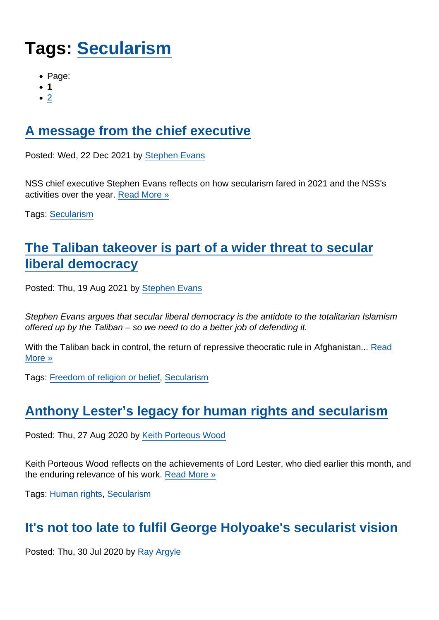# Tags: [Secularism](https://www.secularism.org.uk/opinion/tags/Secularism)

- Page:
- 1
- $\bullet$  [2](/mnt/web-data/www/cp-nss/opinion/tags/Secularism)

# [A message from the chief executive](https://www.secularism.org.uk/opinion/2021/12/a-message-from-the-chief-executive)

Posted: Wed, 22 Dec 2021 by [Stephen Evans](https://www.secularism.org.uk/opinion/authors/845)

NSS chief executive Stephen Evans reflects on how secularism fared in 2021 and the NSS's activities over the year. [Read More »](https://www.secularism.org.uk/opinion/2021/12/a-message-from-the-chief-executive)

Tags: [Secularism](https://www.secularism.org.uk/opinion/tags/Secularism)

# [The Taliban takeover is part of a wider threat to secular](https://www.secularism.org.uk/opinion/2021/08/the-taliban-takeover-is-part-of-a-wider-threat-to-secular-liberal-democracy) [liberal democracy](https://www.secularism.org.uk/opinion/2021/08/the-taliban-takeover-is-part-of-a-wider-threat-to-secular-liberal-democracy)

Posted: Thu, 19 Aug 2021 by [Stephen Evans](https://www.secularism.org.uk/opinion/authors/845)

Stephen Evans argues that secular liberal democracy is the antidote to the totalitarian Islamism offered up by the Taliban – so we need to do a better job of defending it.

With the Taliban back in control, the return of repressive theocratic rule in Afghanistan... [Read](https://www.secularism.org.uk/opinion/2021/08/the-taliban-takeover-is-part-of-a-wider-threat-to-secular-liberal-democracy) [More »](https://www.secularism.org.uk/opinion/2021/08/the-taliban-takeover-is-part-of-a-wider-threat-to-secular-liberal-democracy)

Tags: [Freedom of religion or belief,](https://www.secularism.org.uk/opinion/tags/Freedom+of+religion+or+belief) [Secularism](https://www.secularism.org.uk/opinion/tags/Secularism)

# [Anthony Lester's legacy for human rights and secularism](https://www.secularism.org.uk/opinion/2020/08/anthony-lesters-legacy-for-human-rights-and-secularism)

Posted: Thu, 27 Aug 2020 by [Keith Porteous Wood](https://www.secularism.org.uk/opinion/authors/852)

Keith Porteous Wood reflects on the achievements of Lord Lester, who died earlier this month, and the enduring relevance of his work. [Read More »](https://www.secularism.org.uk/opinion/2020/08/anthony-lesters-legacy-for-human-rights-and-secularism)

Tags: [Human rights,](https://www.secularism.org.uk/opinion/tags/Human+rights) [Secularism](https://www.secularism.org.uk/opinion/tags/Secularism)

# [It's not too late to fulfil George Holyoake's secularist vision](https://www.secularism.org.uk/opinion/2020/07/its-not-too-late-to-fulfil-george-holyoakes-secularist-vision)

Posted: Thu, 30 Jul 2020 by [Ray Argyle](https://www.secularism.org.uk/opinion/authors/1009)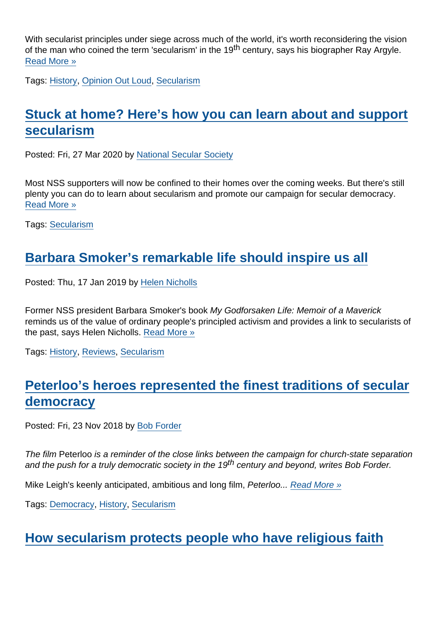With secularist principles under siege across much of the world, it's worth reconsidering the vision of the man who coined the term 'secularism' in the 19<sup>th</sup> century, says his biographer Ray Argyle. [Read More »](https://www.secularism.org.uk/opinion/2020/07/its-not-too-late-to-fulfil-george-holyoakes-secularist-vision)

Tags: [History,](https://www.secularism.org.uk/opinion/tags/History) [Opinion Out Loud](https://www.secularism.org.uk/opinion/tags/Opinion+Out+Loud), [Secularism](https://www.secularism.org.uk/opinion/tags/Secularism)

# [Stuck at home? Here's how you can learn about and support](https://www.secularism.org.uk/opinion/2020/03/stuck-at-home-heres-how-you-can-learn-about-and-support-secularism) [secularism](https://www.secularism.org.uk/opinion/2020/03/stuck-at-home-heres-how-you-can-learn-about-and-support-secularism)

Posted: Fri, 27 Mar 2020 by [National Secular Society](https://www.secularism.org.uk/opinion/authors/855)

Most NSS supporters will now be confined to their homes over the coming weeks. But there's still plenty you can do to learn about secularism and promote our campaign for secular democracy. [Read More »](https://www.secularism.org.uk/opinion/2020/03/stuck-at-home-heres-how-you-can-learn-about-and-support-secularism)

Tags: [Secularism](https://www.secularism.org.uk/opinion/tags/Secularism)

# [Barbara Smoker's remarkable life should inspire us all](https://www.secularism.org.uk/opinion/2019/01/barbara-smokers-remarkable-life-should-inspire-us-all)

Posted: Thu, 17 Jan 2019 by [Helen Nicholls](https://www.secularism.org.uk/opinion/authors/979)

Former NSS president Barbara Smoker's book My Godforsaken Life: Memoir of a Maverick reminds us of the value of ordinary people's principled activism and provides a link to secularists of the past, says Helen Nicholls. [Read More »](https://www.secularism.org.uk/opinion/2019/01/barbara-smokers-remarkable-life-should-inspire-us-all)

Tags: [History,](https://www.secularism.org.uk/opinion/tags/History) [Reviews,](https://www.secularism.org.uk/opinion/tags/Reviews) [Secularism](https://www.secularism.org.uk/opinion/tags/Secularism)

# [Peterloo's heroes represented the finest traditions of secular](https://www.secularism.org.uk/opinion/2018/11/peterloos-heroes-represented-the-finest-traditions-of-secular-democracy) [democracy](https://www.secularism.org.uk/opinion/2018/11/peterloos-heroes-represented-the-finest-traditions-of-secular-democracy)

Posted: Fri, 23 Nov 2018 by [Bob Forder](https://www.secularism.org.uk/opinion/authors/989)

The film Peterloo is a reminder of the close links between the campaign for church-state separation and the push for a truly democratic society in the 19<sup>th</sup> century and beyond, writes Bob Forder.

Mike Leigh's keenly anticipated, ambitious and long film, Peterloo... [Read More »](https://www.secularism.org.uk/opinion/2018/11/peterloos-heroes-represented-the-finest-traditions-of-secular-democracy)

Tags: [Democracy](https://www.secularism.org.uk/opinion/tags/Democracy), [History](https://www.secularism.org.uk/opinion/tags/History), [Secularism](https://www.secularism.org.uk/opinion/tags/Secularism)

[How secularism protects people who have religious faith](https://www.secularism.org.uk/opinion/2018/11/how-secularism-protects-people-who-have-religious-faith)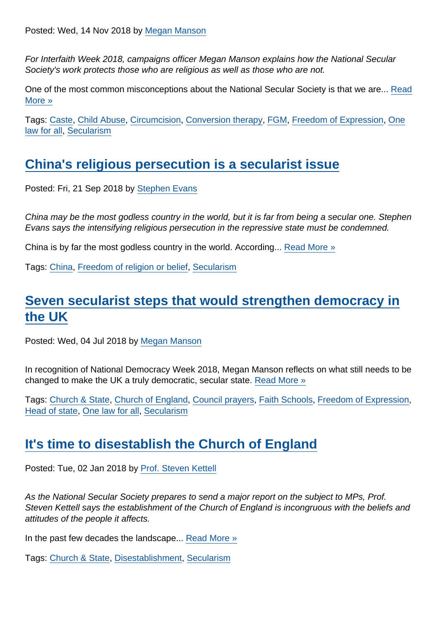Posted: Wed, 14 Nov 2018 by [Megan Manson](https://www.secularism.org.uk/opinion/authors/971)

For Interfaith Week 2018, campaigns officer Megan Manson explains how the National Secular Society's work protects those who are religious as well as those who are not.

One of the most common misconceptions about the National Secular Society is that we are... [Read](https://www.secularism.org.uk/opinion/2018/11/how-secularism-protects-people-who-have-religious-faith) [More »](https://www.secularism.org.uk/opinion/2018/11/how-secularism-protects-people-who-have-religious-faith)

Tags: [Caste,](https://www.secularism.org.uk/opinion/tags/Caste) [Child Abuse](https://www.secularism.org.uk/opinion/tags/Child+Abuse), [Circumcision](https://www.secularism.org.uk/opinion/tags/Circumcision), [Conversion therapy](https://www.secularism.org.uk/opinion/tags/Conversion+therapy), [FGM](https://www.secularism.org.uk/opinion/tags/FGM), [Freedom of Expression](https://www.secularism.org.uk/opinion/tags/Freedom+of+Expression), [One](https://www.secularism.org.uk/opinion/tags/One+law+for+all) [law for all,](https://www.secularism.org.uk/opinion/tags/One+law+for+all) [Secularism](https://www.secularism.org.uk/opinion/tags/Secularism)

#### [China's religious persecution is a secularist issue](https://www.secularism.org.uk/opinion/2018/09/chinas-religious-persecution-is-a-secularist-issue)

Posted: Fri, 21 Sep 2018 by [Stephen Evans](https://www.secularism.org.uk/opinion/authors/845)

China may be the most godless country in the world, but it is far from being a secular one. Stephen Evans says the intensifying religious persecution in the repressive state must be condemned.

China is by far the most godless country in the world. According... [Read More »](https://www.secularism.org.uk/opinion/2018/09/chinas-religious-persecution-is-a-secularist-issue)

Tags: [China,](https://www.secularism.org.uk/opinion/tags/China) [Freedom of religion or belief,](https://www.secularism.org.uk/opinion/tags/Freedom+of+religion+or+belief) [Secularism](https://www.secularism.org.uk/opinion/tags/Secularism)

## [Seven secularist steps that would strengthen democracy in](https://www.secularism.org.uk/opinion/2018/07/seven-secularist-steps-that-would-strengthen-democracy-in-the-uk) [the UK](https://www.secularism.org.uk/opinion/2018/07/seven-secularist-steps-that-would-strengthen-democracy-in-the-uk)

Posted: Wed, 04 Jul 2018 by [Megan Manson](https://www.secularism.org.uk/opinion/authors/971)

In recognition of National Democracy Week 2018, Megan Manson reflects on what still needs to be changed to make the UK a truly democratic, secular state. [Read More »](https://www.secularism.org.uk/opinion/2018/07/seven-secularist-steps-that-would-strengthen-democracy-in-the-uk)

Tags: [Church & State,](https://www.secularism.org.uk/opinion/tags/Church+&+State) [Church of England,](https://www.secularism.org.uk/opinion/tags/Church+of+England) [Council prayers,](https://www.secularism.org.uk/opinion/tags/Council+prayers) [Faith Schools](https://www.secularism.org.uk/opinion/tags/Faith+Schools), [Freedom of Expression,](https://www.secularism.org.uk/opinion/tags/Freedom+of+Expression) [Head of state](https://www.secularism.org.uk/opinion/tags/Head+of+state), [One law for all,](https://www.secularism.org.uk/opinion/tags/One+law+for+all) [Secularism](https://www.secularism.org.uk/opinion/tags/Secularism)

#### [It's time to disestablish the Church of England](https://www.secularism.org.uk/opinion/2018/01/its-time-to-disestablish-the-church-of-england)

Posted: Tue, 02 Jan 2018 by [Prof. Steven Kettell](https://www.secularism.org.uk/opinion/authors/880)

As the National Secular Society prepares to send a major report on the subject to MPs, Prof. Steven Kettell says the establishment of the Church of England is incongruous with the beliefs and attitudes of the people it affects.

In the past few decades the landscape... [Read More »](https://www.secularism.org.uk/opinion/2018/01/its-time-to-disestablish-the-church-of-england)

Tags: [Church & State,](https://www.secularism.org.uk/opinion/tags/Church+&+State) [Disestablishment,](https://www.secularism.org.uk/opinion/tags/Disestablishment) [Secularism](https://www.secularism.org.uk/opinion/tags/Secularism)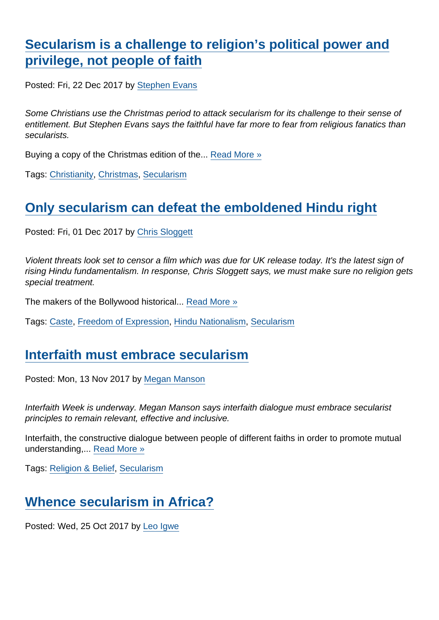[Secularism is a challenge to religion's political power and](https://www.secularism.org.uk/opinion/2017/12/secularism-is-a-challenge-to-religions-political-power-and-privilege-not-people-of-faith) [privilege, not people of faith](https://www.secularism.org.uk/opinion/2017/12/secularism-is-a-challenge-to-religions-political-power-and-privilege-not-people-of-faith)

Posted: Fri, 22 Dec 2017 by [Stephen Evans](https://www.secularism.org.uk/opinion/authors/845)

Some Christians use the Christmas period to attack secularism for its challenge to their sense of entitlement. But Stephen Evans says the faithful have far more to fear from religious fanatics than secularists.

Buying a copy of the Christmas edition of the... [Read More »](https://www.secularism.org.uk/opinion/2017/12/secularism-is-a-challenge-to-religions-political-power-and-privilege-not-people-of-faith)

Tags: [Christianity,](https://www.secularism.org.uk/opinion/tags/Christianity) [Christmas](https://www.secularism.org.uk/opinion/tags/Christmas), [Secularism](https://www.secularism.org.uk/opinion/tags/Secularism)

#### [Only secularism can defeat the emboldened Hindu right](https://www.secularism.org.uk/opinion/2017/12/only-secularism-can-defeat-the-emboldened-hindu-right)

Posted: Fri, 01 Dec 2017 by [Chris Sloggett](https://www.secularism.org.uk/opinion/authors/968)

Violent threats look set to censor a film which was due for UK release today. It's the latest sign of rising Hindu fundamentalism. In response, Chris Sloggett says, we must make sure no religion gets special treatment.

The makers of the Bollywood historical... [Read More »](https://www.secularism.org.uk/opinion/2017/12/only-secularism-can-defeat-the-emboldened-hindu-right)

Tags: [Caste,](https://www.secularism.org.uk/opinion/tags/Caste) [Freedom of Expression](https://www.secularism.org.uk/opinion/tags/Freedom+of+Expression), [Hindu Nationalism](https://www.secularism.org.uk/opinion/tags/Hindu+Nationalism), [Secularism](https://www.secularism.org.uk/opinion/tags/Secularism)

#### [Interfaith must embrace secularism](https://www.secularism.org.uk/opinion/2017/11/interfaith-must-embrace-secularism)

Posted: Mon, 13 Nov 2017 by [Megan Manson](https://www.secularism.org.uk/opinion/authors/971)

Interfaith Week is underway. Megan Manson says interfaith dialogue must embrace secularist principles to remain relevant, effective and inclusive.

Interfaith, the constructive dialogue between people of different faiths in order to promote mutual understanding,... [Read More »](https://www.secularism.org.uk/opinion/2017/11/interfaith-must-embrace-secularism)

Tags: [Religion & Belief](https://www.secularism.org.uk/opinion/tags/Religion+&+Belief), [Secularism](https://www.secularism.org.uk/opinion/tags/Secularism)

## [Whence secularism in Africa?](https://www.secularism.org.uk/opinion/2017/10/whence-secularism-in-africa)

Posted: Wed, 25 Oct 2017 by [Leo Igwe](https://www.secularism.org.uk/opinion/authors/976)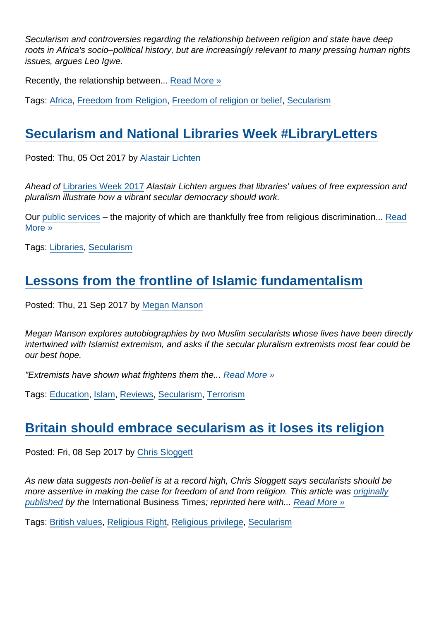Secularism and controversies regarding the relationship between religion and state have deep roots in Africa's socio–political history, but are increasingly relevant to many pressing human rights issues, argues Leo Igwe.

Recently, the relationship between... [Read More »](https://www.secularism.org.uk/opinion/2017/10/whence-secularism-in-africa)

Tags: [Africa](https://www.secularism.org.uk/opinion/tags/Africa), [Freedom from Religion,](https://www.secularism.org.uk/opinion/tags/Freedom+from+Religion) [Freedom of religion or belief,](https://www.secularism.org.uk/opinion/tags/Freedom+of+religion+or+belief) [Secularism](https://www.secularism.org.uk/opinion/tags/Secularism)

## [Secularism and National Libraries Week #LibraryLetters](https://www.secularism.org.uk/opinion/2017/10/secularism-and-national-libraries-week-libraryletters)

Posted: Thu, 05 Oct 2017 by [Alastair Lichten](https://www.secularism.org.uk/opinion/authors/847)

Ahead of [Libraries Week 2017](http://www.librariesweek.org.uk/) Alastair Lichten argues that libraries' values of free expression and pluralism illustrate how a vibrant secular democracy should work.

Our [public services](https://www.secularism.org.uk/opinion/2016/06/faith-in-public-services) – the majority of which are thankfully free from religious discrimination... [Read](https://www.secularism.org.uk/opinion/2017/10/secularism-and-national-libraries-week-libraryletters) [More »](https://www.secularism.org.uk/opinion/2017/10/secularism-and-national-libraries-week-libraryletters)

Tags: [Libraries](https://www.secularism.org.uk/opinion/tags/Libraries), [Secularism](https://www.secularism.org.uk/opinion/tags/Secularism)

## [Lessons from the frontline of Islamic fundamentalism](https://www.secularism.org.uk/opinion/2017/09/book-review-i-am-malala-by-malala-yousafzai-and-radical-by-maajid-nawaz)

Posted: Thu, 21 Sep 2017 by [Megan Manson](https://www.secularism.org.uk/opinion/authors/971)

Megan Manson explores autobiographies by two Muslim secularists whose lives have been directly intertwined with Islamist extremism, and asks if the secular pluralism extremists most fear could be our best hope.

"Extremists have shown what frightens them the... [Read More »](https://www.secularism.org.uk/opinion/2017/09/book-review-i-am-malala-by-malala-yousafzai-and-radical-by-maajid-nawaz)

Tags: [Education,](https://www.secularism.org.uk/opinion/tags/Education) [Islam](https://www.secularism.org.uk/opinion/tags/Islam), [Reviews](https://www.secularism.org.uk/opinion/tags/Reviews), [Secularism](https://www.secularism.org.uk/opinion/tags/Secularism), [Terrorism](https://www.secularism.org.uk/opinion/tags/Terrorism)

#### [Britain should embrace secularism as it loses its religion](https://www.secularism.org.uk/opinion/2017/09/britain-should-embrace-secularism)

Posted: Fri, 08 Sep 2017 by [Chris Sloggett](https://www.secularism.org.uk/opinion/authors/968)

As new data suggests non-belief is at a record high, Chris Sloggett says secularists should be more assertive in making the case for freedom of and from religion. This article was [originally](http://www.ibtimes.co.uk/most-britons-dont-have-religion-anymore-its-time-our-institutions-caught-them-1638627) [published](http://www.ibtimes.co.uk/most-britons-dont-have-religion-anymore-its-time-our-institutions-caught-them-1638627) by the International Business Times; reprinted here with... [Read More »](https://www.secularism.org.uk/opinion/2017/09/britain-should-embrace-secularism)

Tags: [British values,](https://www.secularism.org.uk/opinion/tags/British+values) [Religious Right](https://www.secularism.org.uk/opinion/tags/Religious+Right), [Religious privilege](https://www.secularism.org.uk/opinion/tags/Religious+privilege), [Secularism](https://www.secularism.org.uk/opinion/tags/Secularism)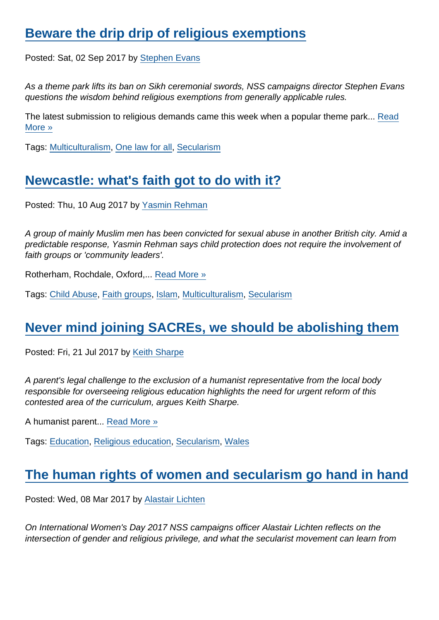## [Beware the drip drip of religious exemptions](https://www.secularism.org.uk/opinion/2017/09/beware-the-drip-drip-of-religious-exemptions)

Posted: Sat, 02 Sep 2017 by [Stephen Evans](https://www.secularism.org.uk/opinion/authors/845)

As a theme park lifts its ban on Sikh ceremonial swords, NSS campaigns director Stephen Evans questions the wisdom behind religious exemptions from generally applicable rules.

The latest submission to religious demands came this week when a popular theme park... [Read](https://www.secularism.org.uk/opinion/2017/09/beware-the-drip-drip-of-religious-exemptions) [More »](https://www.secularism.org.uk/opinion/2017/09/beware-the-drip-drip-of-religious-exemptions)

Tags: [Multiculturalism](https://www.secularism.org.uk/opinion/tags/Multiculturalism), [One law for all](https://www.secularism.org.uk/opinion/tags/One+law+for+all), [Secularism](https://www.secularism.org.uk/opinion/tags/Secularism)

## [Newcastle: what's faith got to do with it?](https://www.secularism.org.uk/opinion/2017/08/newcastle-whats-faith-got-to-do-with-it)

Posted: Thu, 10 Aug 2017 by [Yasmin Rehman](https://www.secularism.org.uk/opinion/authors/970)

A group of mainly Muslim men has been convicted for sexual abuse in another British city. Amid a predictable response, Yasmin Rehman says child protection does not require the involvement of faith groups or 'community leaders'.

Rotherham, Rochdale, Oxford,... [Read More »](https://www.secularism.org.uk/opinion/2017/08/newcastle-whats-faith-got-to-do-with-it)

Tags: [Child Abuse](https://www.secularism.org.uk/opinion/tags/Child+Abuse), [Faith groups](https://www.secularism.org.uk/opinion/tags/Faith+groups), [Islam,](https://www.secularism.org.uk/opinion/tags/Islam) [Multiculturalism](https://www.secularism.org.uk/opinion/tags/Multiculturalism), [Secularism](https://www.secularism.org.uk/opinion/tags/Secularism)

#### [Never mind joining SACREs, we should be abolishing them](https://www.secularism.org.uk/opinion/2017/07/never-mind-joining-sacres-we-should-be-abolishing-them)

Posted: Fri, 21 Jul 2017 by [Keith Sharpe](https://www.secularism.org.uk/opinion/authors/969)

A parent's legal challenge to the exclusion of a humanist representative from the local body responsible for overseeing religious education highlights the need for urgent reform of this contested area of the curriculum, argues Keith Sharpe.

A humanist parent... [Read More »](https://www.secularism.org.uk/opinion/2017/07/never-mind-joining-sacres-we-should-be-abolishing-them)

Tags: [Education,](https://www.secularism.org.uk/opinion/tags/Education) [Religious education](https://www.secularism.org.uk/opinion/tags/Religious+education), [Secularism](https://www.secularism.org.uk/opinion/tags/Secularism), [Wales](https://www.secularism.org.uk/opinion/tags/Wales)

#### [The human rights of women and secularism go hand in hand](https://www.secularism.org.uk/opinion/2017/03/the-human-rights-of-women-and-secularism-go-hand-in-hand)

Posted: Wed, 08 Mar 2017 by [Alastair Lichten](https://www.secularism.org.uk/opinion/authors/847)

On International Women's Day 2017 NSS campaigns officer Alastair Lichten reflects on the intersection of gender and religious privilege, and what the secularist movement can learn from